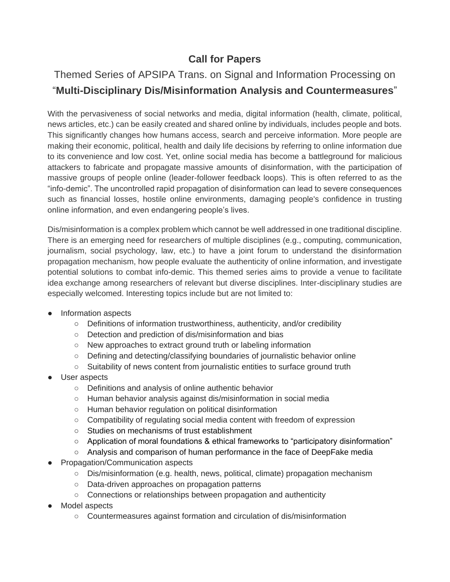## **Call for Papers**

## Themed Series of APSIPA Trans. on Signal and Information Processing on "**Multi-Disciplinary Dis/Misinformation Analysis and Countermeasures**"

With the pervasiveness of social networks and media, digital information (health, climate, political, news articles, etc.) can be easily created and shared online by individuals, includes people and bots. This significantly changes how humans access, search and perceive information. More people are making their economic, political, health and daily life decisions by referring to online information due to its convenience and low cost. Yet, online social media has become a battleground for malicious attackers to fabricate and propagate massive amounts of disinformation, with the participation of massive groups of people online (leader-follower feedback loops). This is often referred to as the "info-demic". The uncontrolled rapid propagation of disinformation can lead to severe consequences such as financial losses, hostile online environments, damaging people's confidence in trusting online information, and even endangering people's lives.

Dis/misinformation is a complex problem which cannot be well addressed in one traditional discipline. There is an emerging need for researchers of multiple disciplines (e.g., computing, communication, journalism, social psychology, law, etc.) to have a joint forum to understand the disinformation propagation mechanism, how people evaluate the authenticity of online information, and investigate potential solutions to combat info-demic. This themed series aims to provide a venue to facilitate idea exchange among researchers of relevant but diverse disciplines. Inter-disciplinary studies are especially welcomed. Interesting topics include but are not limited to:

- Information aspects
	- Definitions of information trustworthiness, authenticity, and/or credibility
	- Detection and prediction of dis/misinformation and bias
	- New approaches to extract ground truth or labeling information
	- Defining and detecting/classifying boundaries of journalistic behavior online
	- Suitability of news content from journalistic entities to surface ground truth
- User aspects
	- Definitions and analysis of online authentic behavior
	- Human behavior analysis against dis/misinformation in social media
	- Human behavior regulation on political disinformation
	- Compatibility of regulating social media content with freedom of expression
	- Studies on mechanisms of trust establishment
	- Application of moral foundations & ethical frameworks to "participatory disinformation"
	- Analysis and comparison of human performance in the face of DeepFake media
- Propagation/Communication aspects
	- Dis/misinformation (e.g. health, news, political, climate) propagation mechanism
	- Data-driven approaches on propagation patterns
	- Connections or relationships between propagation and authenticity
- Model aspects
	- Countermeasures against formation and circulation of dis/misinformation